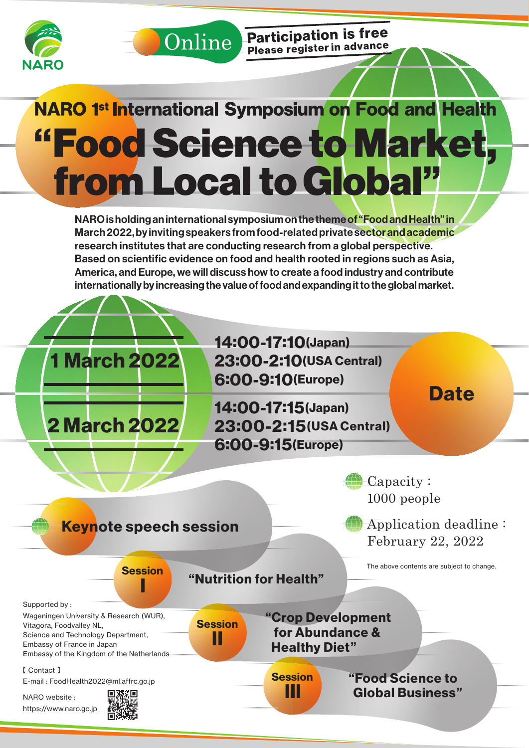



**Participation is free** Participation to the

# **NARO 1st International Symposium on Food and Health** "Food Science to Market, from Local to Global"

NARO is holding an international symposium on the theme of "Food and Health" in March 2022, by inviting speakers from food-related private sector and academic research institutes that are conducting research from a global perspective. Based on scientific evidence on food and health rooted in regions such as Asia, America, and Europe, we will discuss how to create a food industry and contribute internationally by increasing the value of food and expanding it to the global market.